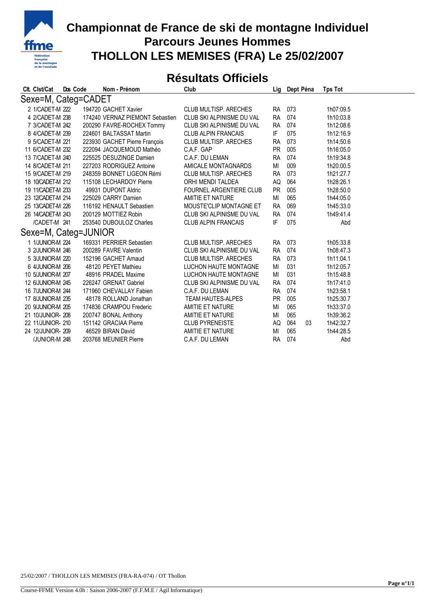

## **Championnat de France de ski de montagne Individuel Parcours Jeunes Hommes THOLLON LES MEMISES (FRA) Le 25/02/2007**

## **Résultats Officiels**

|                      | Clt. Clst/Cat     | Dos Code |  | Nom - Prénom                    | Club                           | Lia       | Dept Péna | <b>Tps Tot</b> |  |  |  |  |
|----------------------|-------------------|----------|--|---------------------------------|--------------------------------|-----------|-----------|----------------|--|--|--|--|
| Sexe=M, Categ=CADET  |                   |          |  |                                 |                                |           |           |                |  |  |  |  |
|                      | 2 1/CADET-M 222   |          |  | 194720 GACHET Xavier            | CLUB MULTISP, ARECHES          | <b>RA</b> | 073       | 1h07:09.5      |  |  |  |  |
|                      | 4 2/CADET-M 238   |          |  | 174240 VERNAZ PIEMONT Sebastien | CLUB SKI ALPINISME DU VAL      | <b>RA</b> | 074       | 1h10:03.8      |  |  |  |  |
|                      | 7 3/CADET-M 242   |          |  | 200290 FAVRE-ROCHEX Tommy       | CLUB SKI ALPINISME DU VAL      | <b>RA</b> | 074       | 1h12:08.6      |  |  |  |  |
|                      | 8 4/CADET-M 239   |          |  | 224601 BALTASSAT Martin         | <b>CLUB ALPIN FRANCAIS</b>     | IF        | 075       | 1h12:16.9      |  |  |  |  |
|                      | 9 5/CADET-M 221   |          |  | 223930 GACHET Pierre François   | CLUB MULTISP, ARECHES          | <b>RA</b> | 073       | 1h14:50.6      |  |  |  |  |
|                      | 11 6/CADET-M 232  |          |  | 222094 JACQUEMOUD Mathéo        | C.A.F. GAP                     | <b>PR</b> | 005       | 1h16:05.0      |  |  |  |  |
|                      | 13 7/CADET-M 240  |          |  | 225525 DESUZINGE Damien         | C.A.F. DU LEMAN                | <b>RA</b> | 074       | 1h19:34.8      |  |  |  |  |
|                      | 14 8/CADET-M 211  |          |  | 227203 RODRIGUEZ Antoine        | AMICALE MONTAGNARDS            | MI        | 009       | 1h20:00.5      |  |  |  |  |
|                      | 15 9/CADET-M 219  |          |  | 248359 BONNET LIGEON Rémi       | CLUB MULTISP, ARECHES          | <b>RA</b> | 073       | 1h21:27.7      |  |  |  |  |
|                      | 18 10/CADET-M 212 |          |  | 115108 LECHARDOY Pierre         | ORHI MENDI TALDEA              | AQ        | 064       | 1h28:26.1      |  |  |  |  |
|                      | 19 11/CADET-M 233 |          |  | 49931 DUPONT Aldric             | <b>FOURNEL ARGENTIERE CLUB</b> | <b>PR</b> | 005       | 1h28:50.0      |  |  |  |  |
|                      | 23 12/CADET-M 214 |          |  | 225029 CARRY Damien             | AMITIE ET NATURE               | MI        | 065       | 1h44:05.0      |  |  |  |  |
|                      | 25 13/CADET-M 226 |          |  | 116192 HENAULT Sebastien        | MOUSTE'CLIP MONTAGNE ET        | <b>RA</b> | 069       | 1h45:33.0      |  |  |  |  |
|                      | 26 14/CADET-M 243 |          |  | 200129 MOTTIEZ Robin            | CLUB SKI ALPINISME DU VAL      | <b>RA</b> | 074       | 1h49:41.4      |  |  |  |  |
|                      | /CADET-M 241      |          |  | 253540 DUBOULOZ Charles         | <b>CLUB ALPIN FRANCAIS</b>     | IF        | 075       | Abd            |  |  |  |  |
| Sexe=M, Categ=JUNIOR |                   |          |  |                                 |                                |           |           |                |  |  |  |  |
|                      | 1 1/JUNIOR-M 224  |          |  | 169331 PERRIER Sebastien        | CLUB MULTISP, ARECHES          | <b>RA</b> | 073       | 1h05:33.8      |  |  |  |  |
|                      | 3 2/JUNIOR-M 246  |          |  | 200289 FAVRE Valentin           | CLUB SKI ALPINISME DU VAL      | <b>RA</b> | 074       | 1h08:47.3      |  |  |  |  |
|                      | 5 3/JUNIOR-M 220  |          |  | 152196 GACHET Arnaud            | CLUB MULTISP, ARECHES          | <b>RA</b> | 073       | 1h11:04.1      |  |  |  |  |
|                      | 6 4/JUNIOR-M 206  |          |  | 48120 PEYET Mathieu             | <b>LUCHON HAUTE MONTAGNE</b>   | ΜI        | 031       | 1h12:05.7      |  |  |  |  |
|                      | 10 5/JUNIOR-M 207 |          |  | 48916 PRADEL Maxime             | <b>LUCHON HAUTE MONTAGNE</b>   | MI        | 031       | 1h15:48.8      |  |  |  |  |
|                      | 12 6/JUNIOR-M 245 |          |  | 226247 GRENAT Gabriel           | CLUB SKI ALPINISME DU VAL      | <b>RA</b> | 074       | 1h17:41.0      |  |  |  |  |
|                      | 16 7/JUNIOR-M 244 |          |  | 171960 CHEVALLAY Fabien         | C.A.F. DU LEMAN                | <b>RA</b> | 074       | 1h23:58.1      |  |  |  |  |
|                      | 17 8/JUNIOR-M 235 |          |  | 48178 ROLLAND Jonathan          | <b>TEAM HAUTES-ALPES</b>       | <b>PR</b> | 005       | 1h25:30.7      |  |  |  |  |
|                      | 20 9/JUNIOR-M 205 |          |  | 174836 CRAMPOU Frederic         | AMITIE ET NATURE               | ΜI        | 065       | 1h33:37.0      |  |  |  |  |
|                      | 21 10/JUNIOR-208  |          |  | 200747 BONAL Anthony            | AMITIE ET NATURE               | ΜI        | 065       | 1h39:36.2      |  |  |  |  |
|                      | 22 11/JUNIOR- 210 |          |  | 151142 GRACIAA Pierre           | <b>CLUB PYRENEISTE</b>         | AQ        | 064<br>03 | 1h42:32.7      |  |  |  |  |
|                      | 24 12/JUNIOR-209  |          |  | 46529 BIRAN David               | AMITIE ET NATURE               | MI        | 065       | 1h44:28.5      |  |  |  |  |
|                      | /JUNIOR-M 248     |          |  | 203768 MEUNIER Pierre           | C.A.F. DU LEMAN                | <b>RA</b> | 074       | Abd            |  |  |  |  |